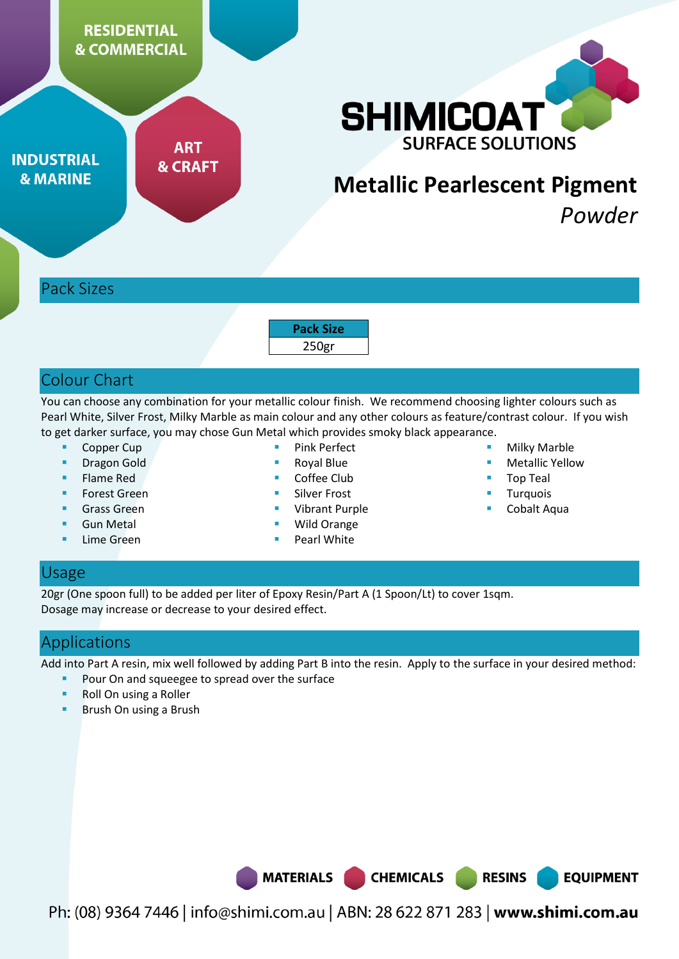**RESIDENTIAL & COMMERCIAL** 

**ART** 

**& CRAFT** 



# **Metallic Pearlescent Pigment**

*Powder* 

## Pack Sizes

**INDUSTRIAL** 

**& MARINE** 

**Pack Size**  250gr

## Colour Chart

You can choose any combination for your metallic colour finish. We recommend choosing lighter colours such as Pearl White, Silver Frost, Milky Marble as main colour and any other colours as feature/contrast colour. If you wish to get darker surface, you may chose Gun Metal which provides smoky black appearance.

- Copper Cup
- **Dragon Gold**
- Flame Red
- Forest Green
- Grass Green
- Gun Metal
- Lime Green
- Pink Perfect
- Royal Blue
- Coffee Club
- Silver Frost
- Vibrant Purple
- Wild Orange
- Pearl White
- Milky Marble
- Metallic Yellow
- Top Teal
- Turquois
- Cobalt Aqua

## Usage

20gr (One spoon full) to be added per liter of Epoxy Resin/Part A (1 Spoon/Lt) to cover 1sqm. Dosage may increase or decrease to your desired effect.

## Applications

Add into Part A resin, mix well followed by adding Part B into the resin. Apply to the surface in your desired method:

- Pour On and squeegee to spread over the surface
- Roll On using a Roller
- Brush On using a Brush

**RESINS** 

**EQUIPMENT** 

Ph: (08) 9364 7446 | info@shimi.com.au | ABN: 28 622 871 283 | www.shimi.com.au

**CHEMICALS** 

**MATERIALS**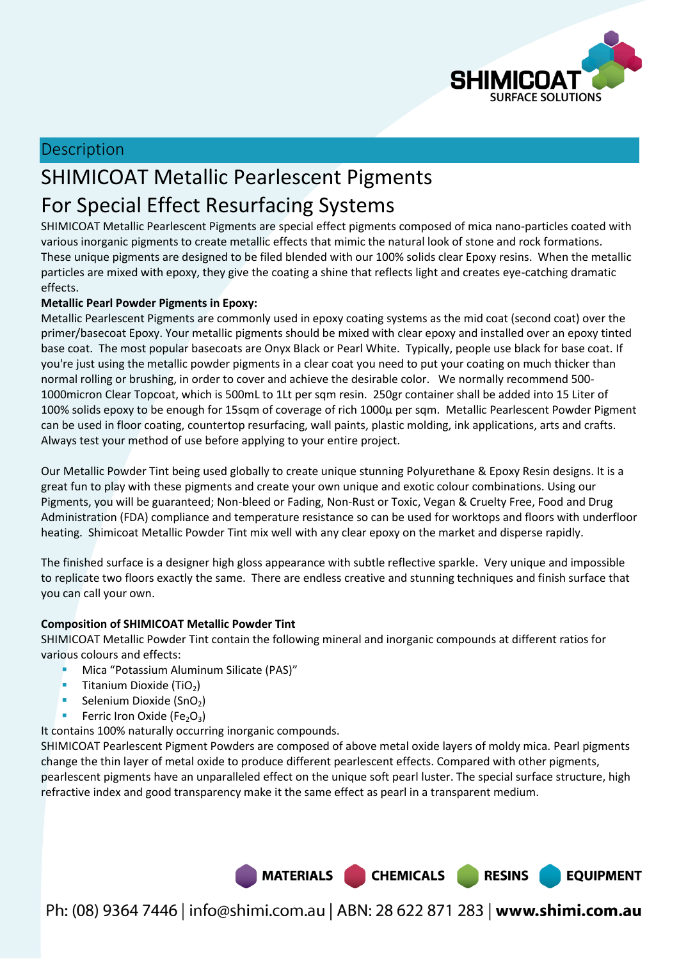

**EQUIPMENT** 

## Description

## SHIMICOAT Metallic Pearlescent Pigments For Special Effect Resurfacing Systems

SHIMICOAT Metallic Pearlescent Pigments are special effect pigments composed of mica nano-particles coated with various inorganic pigments to create metallic effects that mimic the natural look of stone and rock formations. These unique pigments are designed to be filed blended with our 100% solids clear Epoxy resins. When the metallic particles are mixed with epoxy, they give the coating a shine that reflects light and creates eye-catching dramatic effects.

#### **Metallic Pearl Powder Pigments in Epoxy:**

Metallic Pearlescent Pigments are commonly used in epoxy coating systems as the mid coat (second coat) over the primer/basecoat Epoxy. Your metallic pigments should be mixed with clear epoxy and installed over an epoxy tinted base coat. The most popular basecoats are Onyx Black or Pearl White. Typically, people use black for base coat. If you're just using the metallic powder pigments in a clear coat you need to put your coating on much thicker than normal rolling or brushing, in order to cover and achieve the desirable color. We normally recommend 500- 1000micron Clear Topcoat, which is 500mL to 1Lt per sqm resin. 250gr container shall be added into 15 Liter of 100% solids epoxy to be enough for 15sqm of coverage of rich 1000µ per sqm. Metallic Pearlescent Powder Pigment can be used in floor coating, countertop resurfacing, wall paints, plastic molding, ink applications, arts and crafts. Always test your method of use before applying to your entire project.

Our Metallic Powder Tint being used globally to create unique stunning Polyurethane & Epoxy Resin designs. It is a great fun to play with these pigments and create your own unique and exotic colour combinations. Using our Pigments, you will be guaranteed; Non-bleed or Fading, Non-Rust or Toxic, Vegan & Cruelty Free, Food and Drug Administration (FDA) compliance and temperature resistance so can be used for worktops and floors with underfloor heating. Shimicoat Metallic Powder Tint mix well with any clear epoxy on the market and disperse rapidly.

The finished surface is a designer high gloss appearance with subtle reflective sparkle. Very unique and impossible to replicate two floors exactly the same. There are endless creative and stunning techniques and finish surface that you can call your own.

#### **Composition of SHIMICOAT Metallic Powder Tint**

SHIMICOAT Metallic Powder Tint contain the following mineral and inorganic compounds at different ratios for various colours and effects:

- Mica "Potassium Aluminum Silicate (PAS)"
- Titanium Dioxide (TiO<sub>2</sub>)
- Selenium Dioxide (SnO<sub>2</sub>)
- Ferric Iron Oxide (Fe<sub>2</sub>O<sub>3</sub>)

It contains 100% naturally occurring inorganic compounds.

SHIMICOAT Pearlescent Pigment Powders are composed of above metal oxide layers of moldy mica. Pearl pigments change the thin layer of metal oxide to produce different pearlescent effects. Compared with other pigments, pearlescent pigments have an unparalleled effect on the unique soft pearl luster. The special surface structure, high refractive index and good transparency make it the same effect as pearl in a transparent medium.



Ph: (08) 9364 7446 | info@shimi.com.au | ABN: 28 622 871 283 | www.shimi.com.au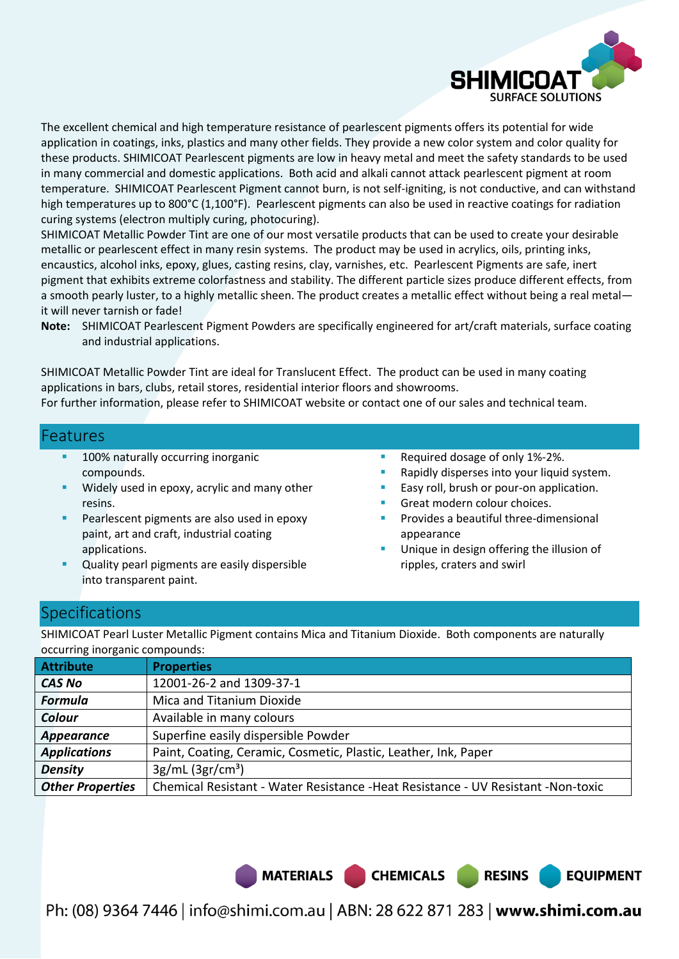

The excellent chemical and high temperature resistance of pearlescent pigments offers its potential for wide application in coatings, inks, plastics and many other fields. They provide a new color system and color quality for these products. SHIMICOAT Pearlescent pigments are low in heavy metal and meet the safety standards to be used in many commercial and domestic applications. Both acid and alkali cannot attack pearlescent pigment at room temperature. SHIMICOAT Pearlescent Pigment cannot burn, is not self-igniting, is not conductive, and can withstand high temperatures up to 800°C (1,100°F). Pearlescent pigments can also be used in reactive coatings for radiation curing systems (electron multiply curing, photocuring).

SHIMICOAT Metallic Powder Tint are one of our most versatile products that can be used to create your desirable metallic or pearlescent effect in many resin systems. The product may be used in acrylics, oils, printing inks, encaustics, alcohol inks, epoxy, glues, casting resins, clay, varnishes, etc. Pearlescent Pigments are safe, inert pigment that exhibits extreme colorfastness and stability. The different particle sizes produce different effects, from a smooth pearly luster, to a highly metallic sheen. The product creates a metallic effect without being a real metal it will never tarnish or fade!

**Note:** SHIMICOAT Pearlescent Pigment Powders are specifically engineered for art/craft materials, surface coating and industrial applications.

SHIMICOAT Metallic Powder Tint are ideal for Translucent Effect. The product can be used in many coating applications in bars, clubs, retail stores, residential interior floors and showrooms. For further information, please refer to SHIMICOAT website or contact one of our sales and technical team.

#### Features

- 100% naturally occurring inorganic compounds.
- Widely used in epoxy, acrylic and many other resins.
- Pearlescent pigments are also used in epoxy paint, art and craft, industrial coating applications.
- Quality pearl pigments are easily dispersible into transparent paint.
- Required dosage of only 1%-2%.
- Rapidly disperses into your liquid system.
- Easy roll, brush or pour-on application.
- Great modern colour choices.
- Provides a beautiful three-dimensional appearance
- Unique in design offering the illusion of ripples, craters and swirl

**EQUIPMENT** 

## **Specifications**

SHIMICOAT Pearl Luster Metallic Pigment contains Mica and Titanium Dioxide. Both components are naturally occurring inorganic compounds:

| <b>Attribute</b>        | <b>Properties</b>                                                                  |  |
|-------------------------|------------------------------------------------------------------------------------|--|
| <b>CAS No</b>           | 12001-26-2 and 1309-37-1                                                           |  |
| <b>Formula</b>          | Mica and Titanium Dioxide                                                          |  |
| Colour                  | Available in many colours                                                          |  |
| Appearance              | Superfine easily dispersible Powder                                                |  |
| <b>Applications</b>     | Paint, Coating, Ceramic, Cosmetic, Plastic, Leather, Ink, Paper                    |  |
| <b>Density</b>          | $3g/mL$ (3gr/cm <sup>3</sup> )                                                     |  |
| <b>Other Properties</b> | Chemical Resistant - Water Resistance - Heat Resistance - UV Resistant - Non-toxic |  |

MATERIALS CHEMICALS RESINS

Ph: (08) 9364 7446 | info@shimi.com.au | ABN: 28 622 871 283 | www.shimi.com.au